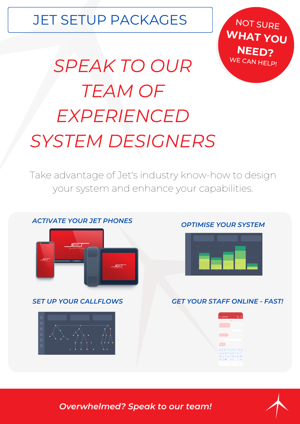# JET SETUP PACKAGES

*SPEAK TO OUR TEAM OF EXPERIENCED SYSTEM DESIGNERS*

NOT SURE **WHAT YOU NEED?** WE CAN HELP!

Take advantage of Jet's industry know-how to design your system and enhance your capabilities.

### *ACTIVATE YOUR JET PHONES*





#### *OPTIMISE YOUR SYSTEM*



#### *SET UP YOUR CALLFLOWS GET YOUR STAFF ONLINE - FAST!*





*Overwhelmed? Speak to our team!*